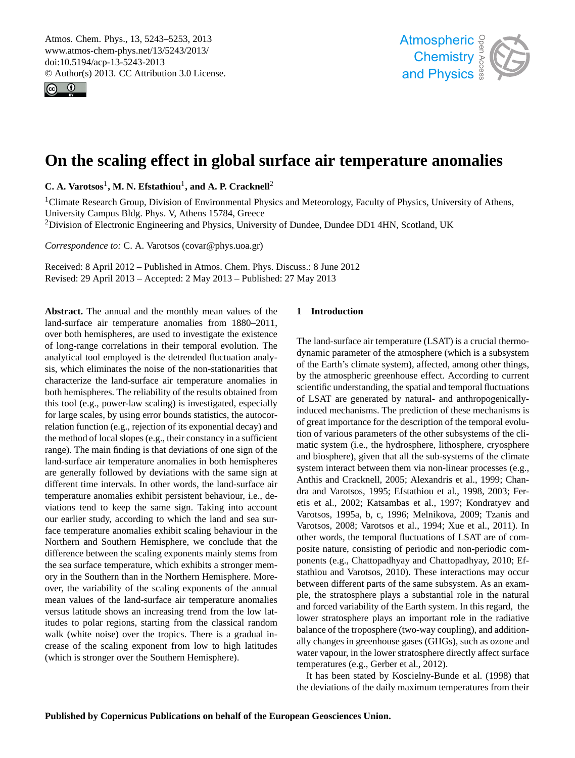<span id="page-0-0"></span>Atmos. Chem. Phys., 13, 5243–5253, 2013 www.atmos-chem-phys.net/13/5243/2013/ doi:10.5194/acp-13-5243-2013 © Author(s) 2013. CC Attribution 3.0 License.





# **On the scaling effect in global surface air temperature anomalies**

C. A. Varotsos<sup>1</sup>, M. N. Efstathiou<sup>1</sup>, and A. P. Cracknell<sup>2</sup>

 $\frac{1}{2}$  $\int f$ <sup>1</sup>Climate Research Group, Division of Environmental Physics and Meteorology, Faculty of Physics, University of Athens, University Campus Bldg. Phys. V, Athens 15784, Greece <sup>2</sup>Division of Electronic Engineering and Physics, University of Dundee, Dundee DD1 4HN, Scotland, UK

*Correspondence to:* C. A. Varotsos (covar@phys.uoa.gr)

Received: 8 April 2012 – Published in Atmos. Chem. Phys. Discuss.: 8 June 2012 Revised: 29 April 2013 – Accepted: 2 May 2013 – Published: 27 May 2013

**Abstract.** The annual and the monthly mean values of the land-surface air temperature anomalies from 1880–2011, over both hemispheres, are used to investigate the existence of long-range correlations in their temporal evolution. The analytical tool employed is the detrended fluctuation analysis, which eliminates the noise of the non-stationarities that characterize the land-surface air temperature anomalies in both hemispheres. The reliability of the results obtained from this tool (e.g., power-law scaling) is investigated, especially for large scales, by using error bounds statistics, the autocorrelation function (e.g., rejection of its exponential decay) and the method of local slopes (e.g., their constancy in a sufficient range). The main finding is that deviations of one sign of the land-surface air temperature anomalies in both hemispheres are generally followed by deviations with the same sign at different time intervals. In other words, the land-surface air temperature anomalies exhibit persistent behaviour, i.e., deviations tend to keep the same sign. Taking into account our earlier study, according to which the land and sea surface temperature anomalies exhibit scaling behaviour in the Northern and Southern Hemisphere, we conclude that the difference between the scaling exponents mainly stems from the sea surface temperature, which exhibits a stronger memory in the Southern than in the Northern Hemisphere. Moreover, the variability of the scaling exponents of the annual mean values of the land-surface air temperature anomalies versus latitude shows an increasing trend from the low latitudes to polar regions, starting from the classical random walk (white noise) over the tropics. There is a gradual increase of the scaling exponent from low to high latitudes (which is stronger over the Southern Hemisphere).

### **1 Introduction**

The land-surface air temperature (LSAT) is a crucial thermoud<br>ud by the atmospheric greenhouse effect. According to current scientific understanding, the spatial and temporal fluctuations of LSAT are generated by natural- and anthropogenically-<br>induced mechanisms. The mediation of these mechanisms is mateca mechanisms. The prediction of these mechanisms is<br>of great importance for the description of the temporal evolu-In<br>al<br>op<br>ne and biosphere), given that all the sub-systems of the climate system interact between them via non-intear processes (e.g.,<br>Anthis and Cracknell, 2005; Alexandris et al., 1999; Chane,<br>of<br>Oq Varotsos, 1995a, b, c, 1996; Melnikova, 2009; Tzanis and valotion, 2006, valotions of al., 1994, Aue et al., 2011). In<br>other words, the temporal fluctuations of LSAT are of composite nature, consisting of periodic and non-periodic com-);<br>al<br>pen ple, the stratosphere plays a substantial role in the natural<br>and forced verishility of the Forth system. In this record, the A<br>
in<br>
is<br>
tl  $t$  temperatures (e.g., Gerber et al., 2012).  $\frac{a}{\text{af}}$ <br>1. dynamic parameter of the atmosphere (which is a subsystem of the Earth's climate system), affected, among other things, induced mechanisms. The prediction of these mechanisms is tion of various parameters of the other subsystems of the climatic system (i.e., the hydrosphere, lithosphere, cryosphere system interact between them via non-linear processes (e.g., dra and Varotsos, 1995; Efstathiou et al., 1998, 2003; Feretis et al., 2002; Katsambas et al., 1997; Kondratyev and Varotsos, 2008; Varotsos et al., 1994; Xue et al., 2011). In ponents (e.g., Chattopadhyay and Chattopadhyay, 2010; Efstathiou and Varotsos, 2010). These interactions may occur between different parts of the same subsystem. As an examand forced variability of the Earth system. In this regard, the lower stratosphere plays an important role in the radiative balance of the troposphere (two-way coupling), and additionally changes in greenhouse gases (GHGs), such as ozone and water vapour, in the lower stratosphere directly affect surface

It has been stated by Koscielny-Bunde et al. (1998) that the deviations of the daily maximum temperatures from their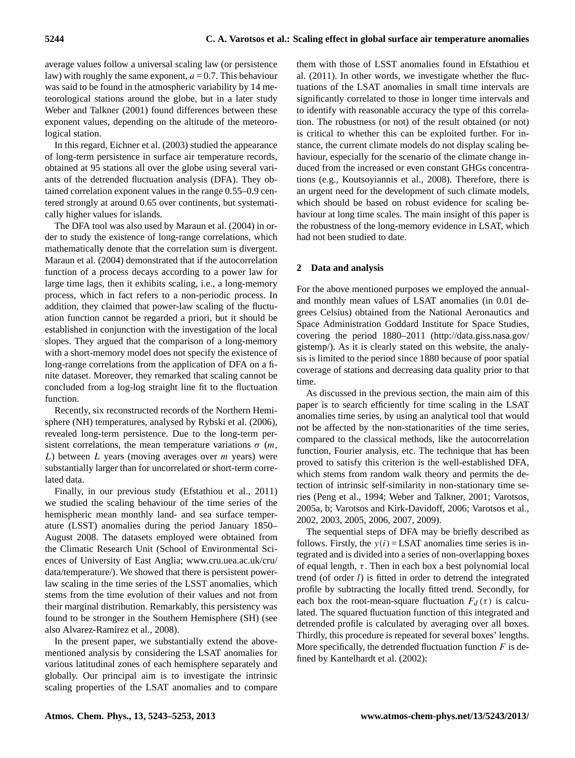average values follow a universal scaling law (or persistence law) with roughly the same exponent,  $a = 0.7$ . This behaviour was said to be found in the atmospheric variability by 14 meteorological stations around the globe, but in a later study Weber and Talkner (2001) found differences between these exponent values, depending on the altitude of the meteorological station.

In this regard, Eichner et al. (2003) studied the appearance of long-term persistence in surface air temperature records, obtained at 95 stations all over the globe using several variants of the detrended fluctuation analysis (DFA). They obtained correlation exponent values in the range 0.55–0.9 centered strongly at around 0.65 over continents, but systematically higher values for islands.

The DFA tool was also used by Maraun et al. (2004) in order to study the existence of long-range correlations, which mathematically denote that the correlation sum is divergent. Maraun et al. (2004) demonstrated that if the autocorrelation function of a process decays according to a power law for large time lags, then it exhibits scaling, i.e., a long-memory process, which in fact refers to a non-periodic process. In addition, they claimed that power-law scaling of the fluctuation function cannot be regarded a priori, but it should be established in conjunction with the investigation of the local slopes. They argued that the comparison of a long-memory with a short-memory model does not specify the existence of long-range correlations from the application of DFA on a finite dataset. Moreover, they remarked that scaling cannot be concluded from a log-log straight line fit to the fluctuation function.

Recently, six reconstructed records of the Northern Hemisphere (NH) temperatures, analysed by Rybski et al. (2006), revealed long-term persistence. Due to the long-term persistent correlations, the mean temperature variations  $\sigma$  (*m*, L) between L years (moving averages over  $m$  years) were substantially larger than for uncorrelated or short-term correlated data.

Finally, in our previous study (Efstathiou et al., 2011) we studied the scaling behaviour of the time series of the hemispheric mean monthly land- and sea surface temperature (LSST) anomalies during the period January 1850– August 2008. The datasets employed were obtained from the Climatic Research Unit (School of Environmental Sciences of University of East Anglia; [www.cru.uea.ac.uk/cru/](www.cru.uea.ac.uk/cru/data/temperature/) [data/temperature/\)](www.cru.uea.ac.uk/cru/data/temperature/). We showed that there is persistent powerlaw scaling in the time series of the LSST anomalies, which stems from the time evolution of their values and not from their marginal distribution. Remarkably, this persistency was found to be stronger in the Southern Hemisphere (SH) (see also Alvarez-Ramirez et al., 2008).

In the present paper, we substantially extend the abovementioned analysis by considering the LSAT anomalies for various latitudinal zones of each hemisphere separately and globally. Our principal aim is to investigate the intrinsic scaling properties of the LSAT anomalies and to compare them with those of LSST anomalies found in Efstathiou et al. (2011). In other words, we investigate whether the fluctuations of the LSAT anomalies in small time intervals are significantly correlated to those in longer time intervals and to identify with reasonable accuracy the type of this correlation. The robustness (or not) of the result obtained (or not) is critical to whether this can be exploited further. For instance, the current climate models do not display scaling behaviour, especially for the scenario of the climate change induced from the increased or even constant GHGs concentrations (e.g., Koutsoyiannis et al., 2008). Therefore, there is an urgent need for the development of such climate models, which should be based on robust evidence for scaling behaviour at long time scales. The main insight of this paper is the robustness of the long-memory evidence in LSAT, which had not been studied to date.

## **2 Data and analysis**

For the above mentioned purposes we employed the annualand monthly mean values of LSAT anomalies (in 0.01 degrees Celsius) obtained from the National Aeronautics and Space Administration Goddard Institute for Space Studies, covering the period 1880–2011 [\(http://data.giss.nasa.gov/](http://data.giss.nasa.gov/gistemp/) [gistemp/\)](http://data.giss.nasa.gov/gistemp/). As it is clearly stated on this website, the analysis is limited to the period since 1880 because of poor spatial coverage of stations and decreasing data quality prior to that time.

As discussed in the previous section, the main aim of this paper is to search efficiently for time scaling in the LSAT anomalies time series, by using an analytical tool that would not be affected by the non-stationarities of the time series, compared to the classical methods, like the autocorrelation function, Fourier analysis, etc. The technique that has been proved to satisfy this criterion is the well-established DFA, which stems from random walk theory and permits the detection of intrinsic self-similarity in non-stationary time series (Peng et al., 1994; Weber and Talkner, 2001; Varotsos, 2005a, b; Varotsos and Kirk-Davidoff, 2006; Varotsos et al., 2002, 2003, 2005, 2006, 2007, 2009).

The sequential steps of DFA may be briefly described as follows. Firstly, the  $y(i) =$  LSAT anomalies time series is integrated and is divided into a series of non-overlapping boxes of equal length,  $\tau$ . Then in each box a best polynomial local trend (of order l) is fitted in order to detrend the integrated profile by subtracting the locally fitted trend. Secondly, for each box the root-mean-square fluctuation  $F_d(\tau)$  is calculated. The squared fluctuation function of this integrated and detrended profile is calculated by averaging over all boxes. Thirdly, this procedure is repeated for several boxes' lengths. More specifically, the detrended fluctuation function  $F$  is defined by Kantelhardt et al. (2002):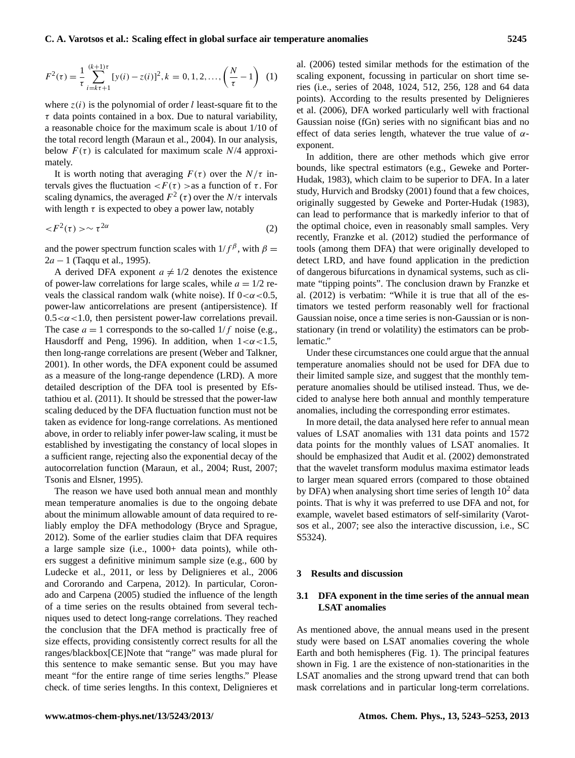$$
F^{2}(\tau) = \frac{1}{\tau} \sum_{i=k\tau+1}^{(k+1)\tau} [y(i) - z(i)]^{2}, k = 0, 1, 2, ..., \left(\frac{N}{\tau} - 1\right) \tag{1}
$$

where  $z(i)$  is the polynomial of order l least-square fit to the  $\tau$  data points contained in a box. Due to natural variability, a reasonable choice for the maximum scale is about 1/10 of the total record length (Maraun et al., 2004). In our analysis, below  $F(\tau)$  is calculated for maximum scale N/4 approximately.

It is worth noting that averaging  $F(\tau)$  over the  $N/\tau$  intervals gives the fluctuation  $\langle F(\tau) \rangle$  as a function of  $\tau$ . For scaling dynamics, the averaged  $F^2(\tau)$  over the  $N/\tau$  intervals with length  $\tau$  is expected to obey a power law, notably

$$
\langle F^2(\tau) \rangle \sim \tau^{2\alpha} \tag{2}
$$

and the power spectrum function scales with  $1/f^{\beta}$ , with  $\beta =$  $2a - 1$  (Taqqu et al., 1995).

A derived DFA exponent  $a \neq 1/2$  denotes the existence of power-law correlations for large scales, while  $a = 1/2$  reveals the classical random walk (white noise). If  $0 < \alpha < 0.5$ , power-law anticorrelations are present (antipersistence). If  $0.5 < \alpha < 1.0$ , then persistent power-law correlations prevail. The case  $a = 1$  corresponds to the so-called  $1/f$  noise (e.g., Hausdorff and Peng, 1996). In addition, when  $1 < \alpha < 1.5$ , then long-range correlations are present (Weber and Talkner, 2001). In other words, the DFA exponent could be assumed as a measure of the long-range dependence (LRD). A more detailed description of the DFA tool is presented by Efstathiou et al. (2011). It should be stressed that the power-law scaling deduced by the DFA fluctuation function must not be taken as evidence for long-range correlations. As mentioned above, in order to reliably infer power-law scaling, it must be established by investigating the constancy of local slopes in a sufficient range, rejecting also the exponential decay of the autocorrelation function (Maraun, et al., 2004; Rust, 2007; Tsonis and Elsner, 1995).

The reason we have used both annual mean and monthly mean temperature anomalies is due to the ongoing debate about the minimum allowable amount of data required to reliably employ the DFA methodology (Bryce and Sprague, 2012). Some of the earlier studies claim that DFA requires a large sample size (i.e., 1000+ data points), while others suggest a definitive minimum sample size (e.g., 600 by Ludecke et al., 2011, or less by Delignieres et al., 2006 and Cororando and Carpena, 2012). In particular, Coronado and Carpena (2005) studied the influence of the length of a time series on the results obtained from several techniques used to detect long-range correlations. They reached the conclusion that the DFA method is practically free of size effects, providing consistently correct results for all the ranges/blackbox[CE]Note that "range" was made plural for this sentence to make semantic sense. But you may have meant "for the entire range of time series lengths." Please check. of time series lengths. In this context, Delignieres et al. (2006) tested similar methods for the estimation of the scaling exponent, focussing in particular on short time series (i.e., series of 2048, 1024, 512, 256, 128 and 64 data points). According to the results presented by Delignieres et al. (2006), DFA worked particularly well with fractional Gaussian noise (fGn) series with no significant bias and no effect of data series length, whatever the true value of  $\alpha$ exponent.

In addition, there are other methods which give error bounds, like spectral estimators (e.g., Geweke and Porter-Hudak, 1983), which claim to be superior to DFA. In a later study, Hurvich and Brodsky (2001) found that a few choices, originally suggested by Geweke and Porter-Hudak (1983), can lead to performance that is markedly inferior to that of the optimal choice, even in reasonably small samples. Very recently, Franzke et al. (2012) studied the performance of tools (among them DFA) that were originally developed to detect LRD, and have found application in the prediction of dangerous bifurcations in dynamical systems, such as climate "tipping points". The conclusion drawn by Franzke et al. (2012) is verbatim: "While it is true that all of the estimators we tested perform reasonably well for fractional Gaussian noise, once a time series is non-Gaussian or is nonstationary (in trend or volatility) the estimators can be problematic."

Under these circumstances one could argue that the annual temperature anomalies should not be used for DFA due to their limited sample size, and suggest that the monthly temperature anomalies should be utilised instead. Thus, we decided to analyse here both annual and monthly temperature anomalies, including the corresponding error estimates.

In more detail, the data analysed here refer to annual mean values of LSAT anomalies with 131 data points and 1572 data points for the monthly values of LSAT anomalies. It should be emphasized that Audit et al. (2002) demonstrated that the wavelet transform modulus maxima estimator leads to larger mean squared errors (compared to those obtained by DFA) when analysing short time series of length  $10<sup>2</sup>$  data points. That is why it was preferred to use DFA and not, for example, wavelet based estimators of self-similarity (Varotsos et al., 2007; see also the interactive discussion, i.e., SC S5324).

#### **3 Results and discussion**

## **3.1 DFA exponent in the time series of the annual mean LSAT anomalies**

As mentioned above, the annual means used in the present study were based on LSAT anomalies covering the whole Earth and both hemispheres (Fig. 1). The principal features shown in Fig. 1 are the existence of non-stationarities in the LSAT anomalies and the strong upward trend that can both mask correlations and in particular long-term correlations.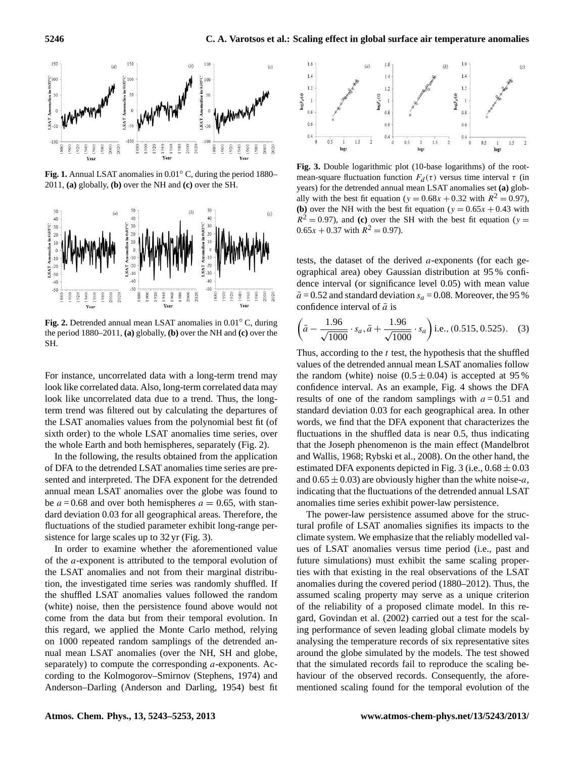

**Fig. 1.** Annual LSAT anomalies in 0.01◦ C, during the period 1880– 2011, **(a)** globally, **(b)** over the NH and **(c)** over the SH.



**Fig. 2.** Detrended annual mean LSAT anomalies in 0.01◦ C, during the period 1880–2011, **(a)** globally, **(b)** over the NH and **(c)** over the SH.

For instance, uncorrelated data with a long-term trend may look like correlated data. Also, long-term correlated data may look like uncorrelated data due to a trend. Thus, the longterm trend was filtered out by calculating the departures of the LSAT anomalies values from the polynomial best fit (of sixth order) to the whole LSAT anomalies time series, over the whole Earth and both hemispheres, separately (Fig. 2).

In the following, the results obtained from the application of DFA to the detrended LSAT anomalies time series are presented and interpreted. The DFA exponent for the detrended annual mean LSAT anomalies over the globe was found to be  $a = 0.68$  and over both hemispheres  $a = 0.65$ , with standard deviation 0.03 for all geographical areas. Therefore, the fluctuations of the studied parameter exhibit long-range persistence for large scales up to 32 yr (Fig. 3).

In order to examine whether the aforementioned value of the a-exponent is attributed to the temporal evolution of the LSAT anomalies and not from their marginal distribution, the investigated time series was randomly shuffled. If the shuffled LSAT anomalies values followed the random (white) noise, then the persistence found above would not come from the data but from their temporal evolution. In this regard, we applied the Monte Carlo method, relying on 1000 repeated random samplings of the detrended annual mean LSAT anomalies (over the NH, SH and globe, separately) to compute the corresponding *a*-exponents. According to the Kolmogorov–Smirnov (Stephens, 1974) and Anderson–Darling (Anderson and Darling, 1954) best fit



**Fig. 3.** Double logarithmic plot (10-base logarithms) of the rootmean-square fluctuation function  $F_d(\tau)$  versus time interval  $\tau$  (in years) for the detrended annual mean LSAT anomalies set **(a)** globally with the best fit equation ( $y = 0.68x + 0.32$  with  $R^2 = 0.97$ ), **(b)** over the NH with the best fit equation ( $y = 0.65x + 0.43$  with  $R^2 = 0.97$ ), and **(c)** over the SH with the best fit equation (y =  $0.65x + 0.37$  with  $R^2 = 0.97$ ).

tests, the dataset of the derived a-exponents (for each geographical area) obey Gaussian distribution at 95 % confidence interval (or significance level 0.05) with mean value  $\bar{a}$  = 0.52 and standard deviation  $s_a$  = 0.08. Moreover, the 95 % confidence interval of  $\bar{a}$  is

$$
\left(\bar{a} - \frac{1.96}{\sqrt{1000}} \cdot s_a, \bar{a} + \frac{1.96}{\sqrt{1000}} \cdot s_a\right)
$$
i.e., (0.515, 0.525). (3)

Thus, according to the  $t$  test, the hypothesis that the shuffled values of the detrended annual mean LSAT anomalies follow the random (white) noise  $(0.5 \pm 0.04)$  is accepted at 95% confidence interval. As an example, Fig. 4 shows the DFA results of one of the random samplings with  $a = 0.51$  and standard deviation 0.03 for each geographical area. In other words, we find that the DFA exponent that characterizes the fluctuations in the shuffled data is near 0.5, thus indicating that the Joseph phenomenon is the main effect (Mandelbrot and Wallis, 1968; Rybski et al., 2008). On the other hand, the estimated DFA exponents depicted in Fig. 3 (i.e.,  $0.68 \pm 0.03$ ) and  $0.65 \pm 0.03$ ) are obviously higher than the white noise-a, indicating that the fluctuations of the detrended annual LSAT anomalies time series exhibit power-law persistence.

The power-law persistence assumed above for the structural profile of LSAT anomalies signifies its impacts to the climate system. We emphasize that the reliably modelled values of LSAT anomalies versus time period (i.e., past and future simulations) must exhibit the same scaling properties with that existing in the real observations of the LSAT anomalies during the covered period (1880–2012). Thus, the assumed scaling property may serve as a unique criterion of the reliability of a proposed climate model. In this regard, Govindan et al. (2002) carried out a test for the scaling performance of seven leading global climate models by analysing the temperature records of six representative sites around the globe simulated by the models. The test showed that the simulated records fail to reproduce the scaling behaviour of the observed records. Consequently, the aforementioned scaling found for the temporal evolution of the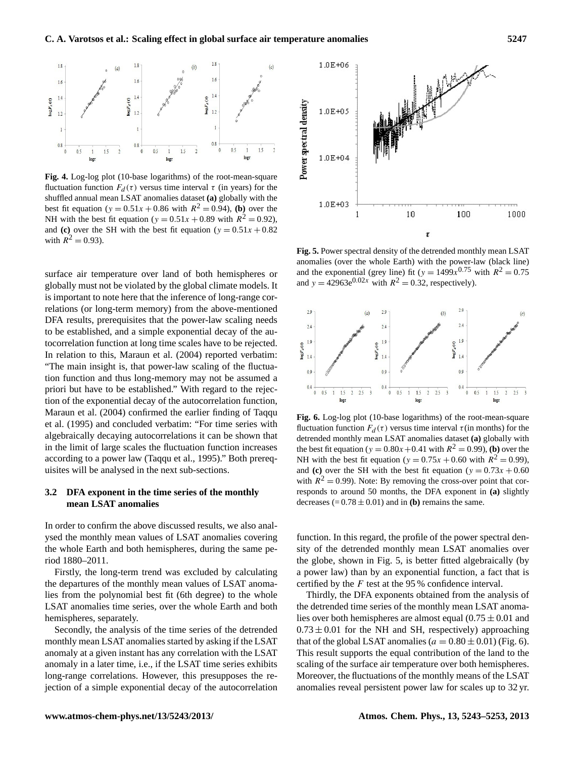

**Fig. 4.** Log-log plot (10-base logarithms) of the root-mean-square fluctuation function  $F_d(\tau)$  versus time interval  $\tau$  (in years) for the shuffled annual mean LSAT anomalies dataset **(a)** globally with the best fit equation ( $y = 0.51x + 0.86$  with  $R^2 = 0.94$ ), **(b)** over the NH with the best fit equation ( $y = 0.51x + 0.89$  with  $R^2 = 0.92$ ), and **(c)** over the SH with the best fit equation  $(y = 0.51x + 0.82)$ with  $R^2 = 0.93$ ).

surface air temperature over land of both hemispheres or globally must not be violated by the global climate models. It is important to note here that the inference of long-range correlations (or long-term memory) from the above-mentioned DFA results, prerequisites that the power-law scaling needs to be established, and a simple exponential decay of the autocorrelation function at long time scales have to be rejected. In relation to this, Maraun et al. (2004) reported verbatim: "The main insight is, that power-law scaling of the fluctuation function and thus long-memory may not be assumed a priori but have to be established." With regard to the rejection of the exponential decay of the autocorrelation function, Maraun et al. (2004) confirmed the earlier finding of Taqqu et al. (1995) and concluded verbatim: "For time series with algebraically decaying autocorrelations it can be shown that in the limit of large scales the fluctuation function increases according to a power law (Taqqu et al., 1995)." Both prerequisites will be analysed in the next sub-sections.

## **3.2 DFA exponent in the time series of the monthly mean LSAT anomalies**

In order to confirm the above discussed results, we also analysed the monthly mean values of LSAT anomalies covering the whole Earth and both hemispheres, during the same period 1880–2011.

Firstly, the long-term trend was excluded by calculating the departures of the monthly mean values of LSAT anomalies from the polynomial best fit (6th degree) to the whole LSAT anomalies time series, over the whole Earth and both hemispheres, separately.

Secondly, the analysis of the time series of the detrended monthly mean LSAT anomalies started by asking if the LSAT anomaly at a given instant has any correlation with the LSAT anomaly in a later time, i.e., if the LSAT time series exhibits long-range correlations. However, this presupposes the rejection of a simple exponential decay of the autocorrelation



**Fig. 5.** Power spectral density of the detrended monthly mean LSAT anomalies (over the whole Earth) with the power-law (black line) and the exponential (grey line) fit ( $y = 1499x^{0.75}$  with  $R^2 = 0.75$ and  $y = 42963e^{0.02x}$  with  $R^2 = 0.32$ , respectively).



**Fig. 6.** Log-log plot (10-base logarithms) of the root-mean-square fluctuation function  $F_d(\tau)$  versus time interval  $\tau$  (in months) for the detrended monthly mean LSAT anomalies dataset **(a)** globally with the best fit equation ( $y = 0.80x + 0.41$  with  $R^2 = 0.99$ ), **(b)** over the NH with the best fit equation ( $y = 0.75x + 0.60$  with  $R^2 = 0.99$ ), and **(c)** over the SH with the best fit equation ( $y = 0.73x + 0.60$ with  $R^2 = 0.99$ ). Note: By removing the cross-over point that corresponds to around 50 months, the DFA exponent in **(a)** slightly decreases  $(= 0.78 \pm 0.01)$  and in **(b)** remains the same.

function. In this regard, the profile of the power spectral density of the detrended monthly mean LSAT anomalies over the globe, shown in Fig. 5, is better fitted algebraically (by a power law) than by an exponential function, a fact that is certified by the F test at the 95 % confidence interval.

Thirdly, the DFA exponents obtained from the analysis of the detrended time series of the monthly mean LSAT anomalies over both hemispheres are almost equal  $(0.75 \pm 0.01$  and  $0.73 \pm 0.01$  for the NH and SH, respectively) approaching that of the global LSAT anomalies ( $a = 0.80 \pm 0.01$ ) (Fig. 6). This result supports the equal contribution of the land to the scaling of the surface air temperature over both hemispheres. Moreover, the fluctuations of the monthly means of the LSAT anomalies reveal persistent power law for scales up to 32 yr.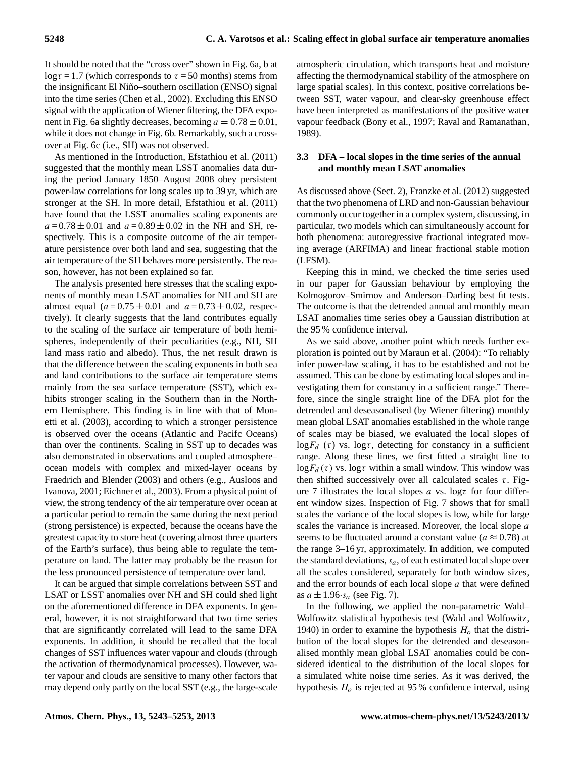It should be noted that the "cross over" shown in Fig. 6a, b at  $\log \tau = 1.7$  (which corresponds to  $\tau = 50$  months) stems from the insignificant El Niño–southern oscillation (ENSO) signal into the time series (Chen et al., 2002). Excluding this ENSO signal with the application of Wiener filtering, the DFA exponent in Fig. 6a slightly decreases, becoming  $a = 0.78 \pm 0.01$ , while it does not change in Fig. 6b. Remarkably, such a crossover at Fig. 6c (i.e., SH) was not observed.

As mentioned in the Introduction, Efstathiou et al. (2011) suggested that the monthly mean LSST anomalies data during the period January 1850–August 2008 obey persistent power-law correlations for long scales up to 39 yr, which are stronger at the SH. In more detail, Efstathiou et al. (2011) have found that the LSST anomalies scaling exponents are  $a = 0.78 \pm 0.01$  and  $a = 0.89 \pm 0.02$  in the NH and SH, respectively. This is a composite outcome of the air temperature persistence over both land and sea, suggesting that the air temperature of the SH behaves more persistently. The reason, however, has not been explained so far.

The analysis presented here stresses that the scaling exponents of monthly mean LSAT anomalies for NH and SH are almost equal  $(a = 0.75 \pm 0.01$  and  $a = 0.73 \pm 0.02$ , respectively). It clearly suggests that the land contributes equally to the scaling of the surface air temperature of both hemispheres, independently of their peculiarities (e.g., NH, SH land mass ratio and albedo). Thus, the net result drawn is that the difference between the scaling exponents in both sea and land contributions to the surface air temperature stems mainly from the sea surface temperature (SST), which exhibits stronger scaling in the Southern than in the Northern Hemisphere. This finding is in line with that of Monetti et al. (2003), according to which a stronger persistence is observed over the oceans (Atlantic and Pacifc Oceans) than over the continents. Scaling in SST up to decades was also demonstrated in observations and coupled atmosphere– ocean models with complex and mixed-layer oceans by Fraedrich and Blender (2003) and others (e.g., Ausloos and Ivanova, 2001; Eichner et al., 2003). From a physical point of view, the strong tendency of the air temperature over ocean at a particular period to remain the same during the next period (strong persistence) is expected, because the oceans have the greatest capacity to store heat (covering almost three quarters of the Earth's surface), thus being able to regulate the temperature on land. The latter may probably be the reason for the less pronounced persistence of temperature over land.

It can be argued that simple correlations between SST and LSAT or LSST anomalies over NH and SH could shed light on the aforementioned difference in DFA exponents. In general, however, it is not straightforward that two time series that are significantly correlated will lead to the same DFA exponents. In addition, it should be recalled that the local changes of SST influences water vapour and clouds (through the activation of thermodynamical processes). However, water vapour and clouds are sensitive to many other factors that may depend only partly on the local SST (e.g., the large-scale atmospheric circulation, which transports heat and moisture affecting the thermodynamical stability of the atmosphere on large spatial scales). In this context, positive correlations between SST, water vapour, and clear-sky greenhouse effect have been interpreted as manifestations of the positive water vapour feedback (Bony et al., 1997; Raval and Ramanathan, 1989).

## **3.3 DFA – local slopes in the time series of the annual and monthly mean LSAT anomalies**

As discussed above (Sect. 2), Franzke et al. (2012) suggested that the two phenomena of LRD and non-Gaussian behaviour commonly occur together in a complex system, discussing, in particular, two models which can simultaneously account for both phenomena: autoregressive fractional integrated moving average (ARFIMA) and linear fractional stable motion (LFSM).

Keeping this in mind, we checked the time series used in our paper for Gaussian behaviour by employing the Kolmogorov–Smirnov and Anderson–Darling best fit tests. The outcome is that the detrended annual and monthly mean LSAT anomalies time series obey a Gaussian distribution at the 95 % confidence interval.

As we said above, another point which needs further exploration is pointed out by Maraun et al. (2004): "To reliably infer power-law scaling, it has to be established and not be assumed. This can be done by estimating local slopes and investigating them for constancy in a sufficient range." Therefore, since the single straight line of the DFA plot for the detrended and deseasonalised (by Wiener filtering) monthly mean global LSAT anomalies established in the whole range of scales may be biased, we evaluated the local slopes of  $logF_d$  (τ) vs.  $log\tau$ , detecting for constancy in a sufficient range. Along these lines, we first fitted a straight line to  $logF_d(\tau)$  vs.  $log\tau$  within a small window. This window was then shifted successively over all calculated scales  $\tau$ . Figure 7 illustrates the local slopes a vs. log $\tau$  for four different window sizes. Inspection of Fig. 7 shows that for small scales the variance of the local slopes is low, while for large scales the variance is increased. Moreover, the local slope a seems to be fluctuated around a constant value ( $a \approx 0.78$ ) at the range 3–16 yr, approximately. In addition, we computed the standard deviations,  $s_a$ , of each estimated local slope over all the scales considered, separately for both window sizes, and the error bounds of each local slope  $a$  that were defined as  $a \pm 1.96$ · $s_a$  (see Fig. 7).

In the following, we applied the non-parametric Wald– Wolfowitz statistical hypothesis test (Wald and Wolfowitz, 1940) in order to examine the hypothesis  $H_0$  that the distribution of the local slopes for the detrended and deseasonalised monthly mean global LSAT anomalies could be considered identical to the distribution of the local slopes for a simulated white noise time series. As it was derived, the hypothesis  $H<sub>o</sub>$  is rejected at 95% confidence interval, using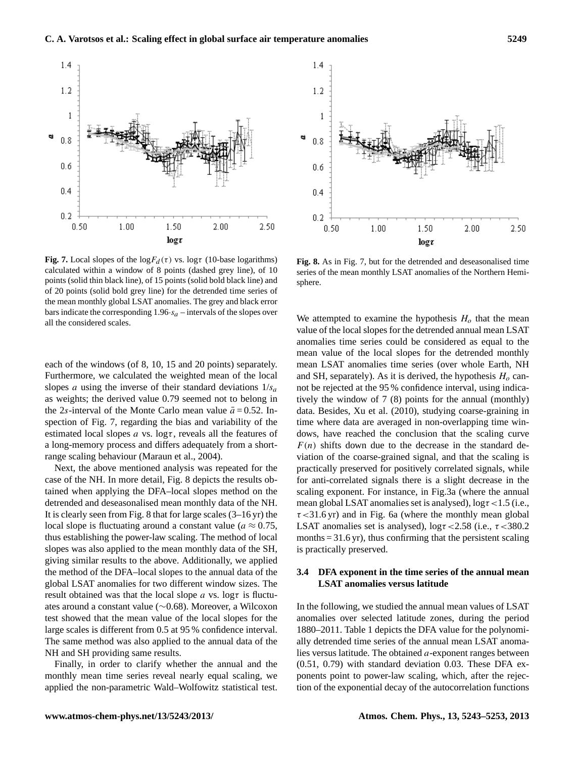

**Fig. 7.** Local slopes of the  $\log F_d(\tau)$  vs.  $\log \tau$  (10-base logarithms) calculated within a window of 8 points (dashed grey line), of 10 points (solid thin black line), of 15 points (solid bold black line) and of 20 points (solid bold grey line) for the detrended time series of the mean monthly global LSAT anomalies. The grey and black error bars indicate the corresponding  $1.96 \tcdot s_a$  – intervals of the slopes over all the considered scales.

each of the windows (of 8, 10, 15 and 20 points) separately. Furthermore, we calculated the weighted mean of the local slopes a using the inverse of their standard deviations  $1/s_a$ as weights; the derived value 0.79 seemed not to belong in the 2s-interval of the Monte Carlo mean value  $\bar{a} = 0.52$ . Inspection of Fig. 7, regarding the bias and variability of the estimated local slopes a vs.  $log\tau$ , reveals all the features of a long-memory process and differs adequately from a shortrange scaling behaviour (Maraun et al., 2004).

Next, the above mentioned analysis was repeated for the case of the NH. In more detail, Fig. 8 depicts the results obtained when applying the DFA–local slopes method on the detrended and deseasonalised mean monthly data of the NH. It is clearly seen from Fig. 8 that for large scales (3–16 yr) the local slope is fluctuating around a constant value ( $a \approx 0.75$ , thus establishing the power-law scaling. The method of local slopes was also applied to the mean monthly data of the SH, giving similar results to the above. Additionally, we applied the method of the DFA–local slopes to the annual data of the global LSAT anomalies for two different window sizes. The result obtained was that the local slope a vs.  $\log \tau$  is fluctuates around a constant value (∼0.68). Moreover, a Wilcoxon test showed that the mean value of the local slopes for the large scales is different from 0.5 at 95 % confidence interval. The same method was also applied to the annual data of the NH and SH providing same results.

Finally, in order to clarify whether the annual and the monthly mean time series reveal nearly equal scaling, we applied the non-parametric Wald–Wolfowitz statistical test.



**Fig. 8.** As in Fig. 7, but for the detrended and deseasonalised time series of the mean monthly LSAT anomalies of the Northern Hemisphere.

We attempted to examine the hypothesis  $H_0$  that the mean value of the local slopes for the detrended annual mean LSAT anomalies time series could be considered as equal to the mean value of the local slopes for the detrended monthly mean LSAT anomalies time series (over whole Earth, NH and SH, separately). As it is derived, the hypothesis  $H<sub>o</sub>$  cannot be rejected at the 95 % confidence interval, using indicatively the window of 7 (8) points for the annual (monthly) data. Besides, Xu et al. (2010), studying coarse-graining in time where data are averaged in non-overlapping time windows, have reached the conclusion that the scaling curve  $F(n)$  shifts down due to the decrease in the standard deviation of the coarse-grained signal, and that the scaling is practically preserved for positively correlated signals, while for anti-correlated signals there is a slight decrease in the scaling exponent. For instance, in Fig.3a (where the annual mean global LSAT anomalies set is analysed),  $log \tau < 1.5$  (i.e.,  $\tau$  < 31.6 yr) and in Fig. 6a (where the monthly mean global LSAT anomalies set is analysed),  $\log \tau < 2.58$  (i.e.,  $\tau < 380.2$ ) months  $= 31.6$  yr), thus confirming that the persistent scaling is practically preserved.

## **3.4 DFA exponent in the time series of the annual mean LSAT anomalies versus latitude**

In the following, we studied the annual mean values of LSAT anomalies over selected latitude zones, during the period 1880–2011. Table 1 depicts the DFA value for the polynomially detrended time series of the annual mean LSAT anomalies versus latitude. The obtained  $a$ -exponent ranges between (0.51, 0.79) with standard deviation 0.03. These DFA exponents point to power-law scaling, which, after the rejection of the exponential decay of the autocorrelation functions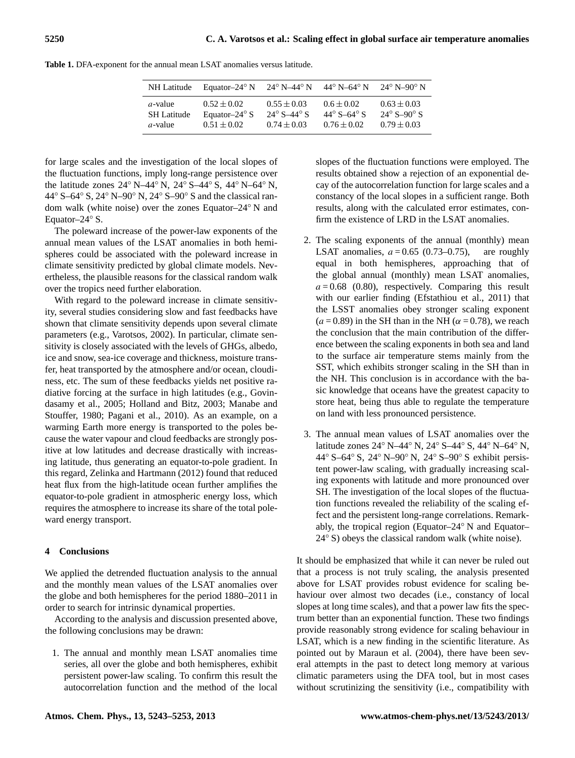| NH Latitude        | Equator- $24^{\circ}$ N | 24° N–44° N                    | 44° N–64° N                | $-24^{\circ}$ N–90 $^{\circ}$ N |
|--------------------|-------------------------|--------------------------------|----------------------------|---------------------------------|
| $a$ -value         | $0.52 \pm 0.02$         | $0.55 \pm 0.03$                | $0.6 \pm 0.02$             | $0.63 \pm 0.03$                 |
| <b>SH</b> Latitude | Equator- $24^{\circ}$ S | $24^{\circ}$ S-44 $^{\circ}$ S | $44^\circ$ S-64 $^\circ$ S | $24^{\circ}$ S-90 $^{\circ}$ S  |
| $a$ -value         | $0.51 + 0.02$           | $0.74 + 0.03$                  | $0.76 \pm 0.02$            | $0.79 \pm 0.03$                 |

**Table 1.** DFA-exponent for the annual mean LSAT anomalies versus latitude.

for large scales and the investigation of the local slopes of the fluctuation functions, imply long-range persistence over the latitude zones 24◦ N–44◦ N, 24◦ S–44◦ S, 44◦ N–64◦ N, 44◦ S–64◦ S, 24◦ N–90◦ N, 24◦ S–90◦ S and the classical random walk (white noise) over the zones Equator–24◦ N and Equator–24◦ S.

The poleward increase of the power-law exponents of the annual mean values of the LSAT anomalies in both hemispheres could be associated with the poleward increase in climate sensitivity predicted by global climate models. Nevertheless, the plausible reasons for the classical random walk over the tropics need further elaboration.

With regard to the poleward increase in climate sensitivity, several studies considering slow and fast feedbacks have shown that climate sensitivity depends upon several climate parameters (e.g., Varotsos, 2002). In particular, climate sensitivity is closely associated with the levels of GHGs, albedo, ice and snow, sea-ice coverage and thickness, moisture transfer, heat transported by the atmosphere and/or ocean, cloudiness, etc. The sum of these feedbacks yields net positive radiative forcing at the surface in high latitudes (e.g., Govindasamy et al., 2005; Holland and Bitz, 2003; Manabe and Stouffer, 1980; Pagani et al., 2010). As an example, on a warming Earth more energy is transported to the poles because the water vapour and cloud feedbacks are strongly positive at low latitudes and decrease drastically with increasing latitude, thus generating an equator-to-pole gradient. In this regard, Zelinka and Hartmann (2012) found that reduced heat flux from the high-latitude ocean further amplifies the equator-to-pole gradient in atmospheric energy loss, which requires the atmosphere to increase its share of the total poleward energy transport.

## **4 Conclusions**

We applied the detrended fluctuation analysis to the annual and the monthly mean values of the LSAT anomalies over the globe and both hemispheres for the period 1880–2011 in order to search for intrinsic dynamical properties.

According to the analysis and discussion presented above, the following conclusions may be drawn:

1. The annual and monthly mean LSAT anomalies time series, all over the globe and both hemispheres, exhibit persistent power-law scaling. To confirm this result the autocorrelation function and the method of the local

slopes of the fluctuation functions were employed. The results obtained show a rejection of an exponential decay of the autocorrelation function for large scales and a constancy of the local slopes in a sufficient range. Both results, along with the calculated error estimates, confirm the existence of LRD in the LSAT anomalies.

- 2. The scaling exponents of the annual (monthly) mean LSAT anomalies,  $a = 0.65$  (0.73–0.75), are roughly equal in both hemispheres, approaching that of the global annual (monthly) mean LSAT anomalies,  $a = 0.68$  (0.80), respectively. Comparing this result with our earlier finding (Efstathiou et al., 2011) that the LSST anomalies obey stronger scaling exponent  $(a = 0.89)$  in the SH than in the NH  $(\alpha = 0.78)$ , we reach the conclusion that the main contribution of the difference between the scaling exponents in both sea and land to the surface air temperature stems mainly from the SST, which exhibits stronger scaling in the SH than in the NH. This conclusion is in accordance with the basic knowledge that oceans have the greatest capacity to store heat, being thus able to regulate the temperature on land with less pronounced persistence.
- 3. The annual mean values of LSAT anomalies over the latitude zones 24◦ N–44◦ N, 24◦ S–44◦ S, 44◦ N–64◦ N, 44◦ S–64◦ S, 24◦ N–90◦ N, 24◦ S–90◦ S exhibit persistent power-law scaling, with gradually increasing scaling exponents with latitude and more pronounced over SH. The investigation of the local slopes of the fluctuation functions revealed the reliability of the scaling effect and the persistent long-range correlations. Remarkably, the tropical region (Equator–24◦ N and Equator– 24◦ S) obeys the classical random walk (white noise).

It should be emphasized that while it can never be ruled out that a process is not truly scaling, the analysis presented above for LSAT provides robust evidence for scaling behaviour over almost two decades (i.e., constancy of local slopes at long time scales), and that a power law fits the spectrum better than an exponential function. These two findings provide reasonably strong evidence for scaling behaviour in LSAT, which is a new finding in the scientific literature. As pointed out by Maraun et al. (2004), there have been several attempts in the past to detect long memory at various climatic parameters using the DFA tool, but in most cases without scrutinizing the sensitivity (i.e., compatibility with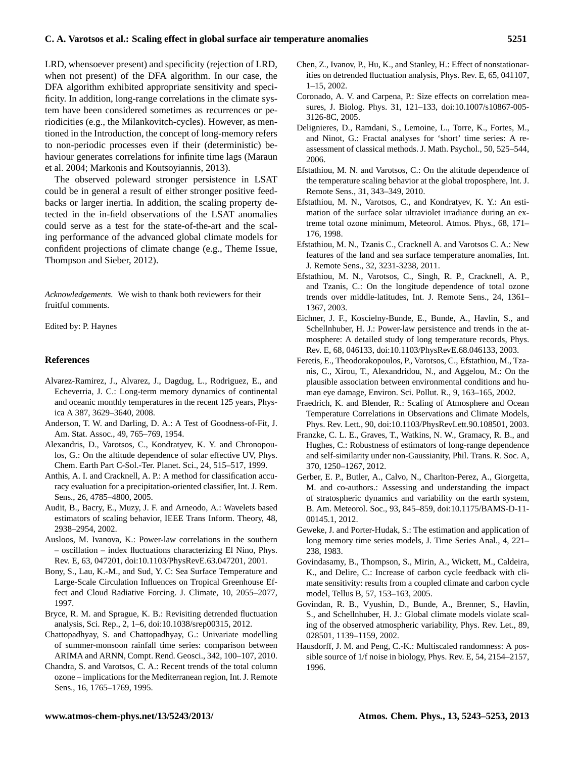LRD, whensoever present) and specificity (rejection of LRD, when not present) of the DFA algorithm. In our case, the DFA algorithm exhibited appropriate sensitivity and specificity. In addition, long-range correlations in the climate system have been considered sometimes as recurrences or periodicities (e.g., the Milankovitch-cycles). However, as mentioned in the Introduction, the concept of long-memory refers to non-periodic processes even if their (deterministic) behaviour generates correlations for infinite time lags (Maraun et al. 2004; Markonis and Koutsoyiannis, 2013).

The observed poleward stronger persistence in LSAT could be in general a result of either stronger positive feedbacks or larger inertia. In addition, the scaling property detected in the in-field observations of the LSAT anomalies could serve as a test for the state-of-the-art and the scaling performance of the advanced global climate models for confident projections of climate change (e.g., Theme Issue, Thompson and Sieber, 2012).

*Acknowledgements.* We wish to thank both reviewers for their fruitful comments.

Edited by: P. Haynes

#### **References**

- Alvarez-Ramirez, J., Alvarez, J., Dagdug, L., Rodriguez, E., and Echeverria, J. C.: Long-term memory dynamics of continental and oceanic monthly temperatures in the recent 125 years, Physica A 387, 3629–3640, 2008.
- Anderson, T. W. and Darling, D. A.: A Test of Goodness-of-Fit, J. Am. Stat. Assoc., 49, 765–769, 1954.
- Alexandris, D., Varotsos, C., Kondratyev, K. Y. and Chronopoulos, G.: On the altitude dependence of solar effective UV, Phys. Chem. Earth Part C-Sol.-Ter. Planet. Sci., 24, 515–517, 1999.
- Anthis, A. I. and Cracknell, A. P.: A method for classification accuracy evaluation for a precipitation-oriented classifier, Int. J. Rem. Sens., 26, 4785–4800, 2005.
- Audit, B., Bacry, E., Muzy, J. F. and Arneodo, A.: Wavelets based estimators of scaling behavior, IEEE Trans Inform. Theory, 48, 2938–2954, 2002.
- Ausloos, M. Ivanova, K.: Power-law correlations in the southern – oscillation – index fluctuations characterizing El Nino, Phys. Rev. E, 63, 047201, doi[:10.1103/PhysRevE.63.047201,](http://dx.doi.org/10.1103/PhysRevE.63.047201) 2001.
- Bony, S., Lau, K.-M., and Sud, Y. C: Sea Surface Temperature and Large-Scale Circulation Influences on Tropical Greenhouse Effect and Cloud Radiative Forcing. J. Climate, 10, 2055–2077, 1997.
- Bryce, R. M. and Sprague, K. B.: Revisiting detrended fluctuation analysis, Sci. Rep., 2, 1–6, doi[:10.1038/srep00315,](http://dx.doi.org/10.1038/srep00315) 2012.
- Chattopadhyay, S. and Chattopadhyay, G.: Univariate modelling of summer-monsoon rainfall time series: comparison between ARIMA and ARNN, Compt. Rend. Geosci., 342, 100–107, 2010.
- Chandra, S. and Varotsos, C. A.: Recent trends of the total column ozone – implications for the Mediterranean region, Int. J. Remote Sens., 16, 1765–1769, 1995.
- Chen, Z., Ivanov, P., Hu, K., and Stanley, H.: Effect of nonstationarities on detrended fluctuation analysis, Phys. Rev. E, 65, 041107, 1–15, 2002.
- Coronado, A. V. and Carpena, P.: Size effects on correlation measures, J. Biolog. Phys. 31, 121–133, doi[:10.1007/s10867-005-](http://dx.doi.org/10.1007/s10867-005-3126-8C) [3126-8C,](http://dx.doi.org/10.1007/s10867-005-3126-8C) 2005.
- Delignieres, D., Ramdani, S., Lemoine, L., Torre, K., Fortes, M., and Ninot, G.: Fractal analyses for 'short' time series: A reassessment of classical methods. J. Math. Psychol., 50, 525–544, 2006.
- Efstathiou, M. N. and Varotsos, C.: On the altitude dependence of the temperature scaling behavior at the global troposphere, Int. J. Remote Sens., 31, 343–349, 2010.
- Efstathiou, M. N., Varotsos, C., and Kondratyev, K. Y.: An estimation of the surface solar ultraviolet irradiance during an extreme total ozone minimum, Meteorol. Atmos. Phys., 68, 171– 176, 1998.
- Efstathiou, M. N., Tzanis C., Cracknell A. and Varotsos C. A.: New features of the land and sea surface temperature anomalies, Int. J. Remote Sens., 32, 3231-3238, 2011.
- Efstathiou, M. N., Varotsos, C., Singh, R. P., Cracknell, A. P., and Tzanis, C.: On the longitude dependence of total ozone trends over middle-latitudes, Int. J. Remote Sens., 24, 1361– 1367, 2003.
- Eichner, J. F., Koscielny-Bunde, E., Bunde, A., Havlin, S., and Schellnhuber, H. J.: Power-law persistence and trends in the atmosphere: A detailed study of long temperature records, Phys. Rev. E, 68, 046133, doi[:10.1103/PhysRevE.68.046133,](http://dx.doi.org/10.1103/PhysRevE.68.046133) 2003.
- Feretis, E., Theodorakopoulos, P., Varotsos, C., Efstathiou, M., Tzanis, C., Xirou, T., Alexandridou, N., and Aggelou, M.: On the plausible association between environmental conditions and human eye damage, Environ. Sci. Pollut. R., 9, 163–165, 2002.
- Fraedrich, K. and Blender, R.: Scaling of Atmosphere and Ocean Temperature Correlations in Observations and Climate Models, Phys. Rev. Lett., 90, doi[:10.1103/PhysRevLett.90.108501,](http://dx.doi.org/10.1103/PhysRevLett.90.108501) 2003.
- Franzke, C. L. E., Graves, T., Watkins, N. W., Gramacy, R. B., and Hughes, C.: Robustness of estimators of long-range dependence and self-similarity under non-Gaussianity, Phil. Trans. R. Soc. A, 370, 1250–1267, 2012.
- Gerber, E. P., Butler, A., Calvo, N., Charlton-Perez, A., Giorgetta, M. and co-authors.: Assessing and understanding the impact of stratospheric dynamics and variability on the earth system, B. Am. Meteorol. Soc., 93, 845–859, doi[:10.1175/BAMS-D-11-](http://dx.doi.org/10.1175/BAMS-D-11-00145.1) [00145.1,](http://dx.doi.org/10.1175/BAMS-D-11-00145.1) 2012.
- Geweke, J. and Porter-Hudak, S.: The estimation and application of long memory time series models, J. Time Series Anal., 4, 221– 238, 1983.
- Govindasamy, B., Thompson, S., Mirin, A., Wickett, M., Caldeira, K., and Delire, C.: Increase of carbon cycle feedback with climate sensitivity: results from a coupled climate and carbon cycle model, Tellus B, 57, 153–163, 2005.
- Govindan, R. B., Vyushin, D., Bunde, A., Brenner, S., Havlin, S., and Schellnhuber, H. J.: Global climate models violate scaling of the observed atmospheric variability, Phys. Rev. Let., 89, 028501, 1139–1159, 2002.
- Hausdorff, J. M. and Peng, C.-K.: Multiscaled randomness: A possible source of 1/f noise in biology, Phys. Rev. E, 54, 2154–2157, 1996.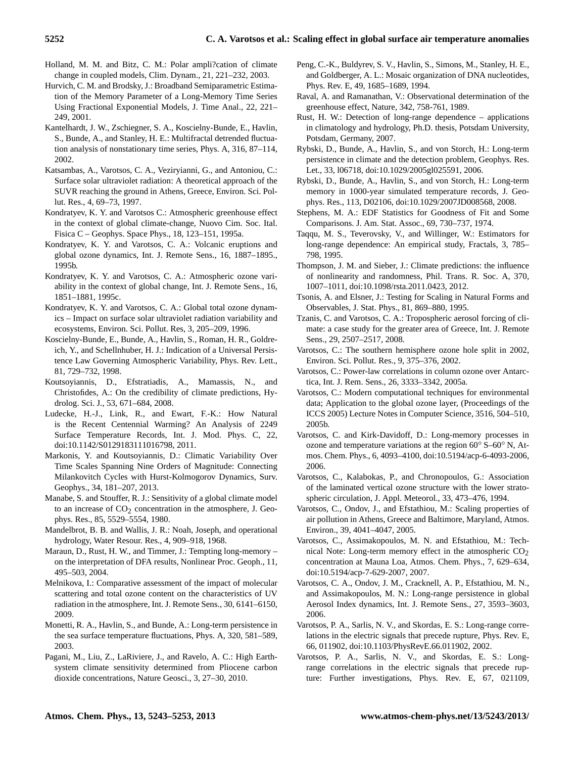- Holland, M. M. and Bitz, C. M.: Polar ampli?cation of climate change in coupled models, Clim. Dynam., 21, 221–232, 2003.
- Hurvich, C. M. and Brodsky, J.: Broadband Semiparametric Estimation of the Memory Parameter of a Long-Memory Time Series Using Fractional Exponential Models, J. Time Anal., 22, 221– 249, 2001.
- Kantelhardt, J. W., Zschiegner, S. A., Koscielny-Bunde, E., Havlin, S., Bunde, A., and Stanley, H. E.: Multifractal detrended fluctuation analysis of nonstationary time series, Phys. A, 316, 87–114, 2002.
- Katsambas, A., Varotsos, C. A., Veziryianni, G., and Antoniou, C.: Surface solar ultraviolet radiation: A theoretical approach of the SUVR reaching the ground in Athens, Greece, Environ. Sci. Pollut. Res., 4, 69–73, 1997.
- Kondratyev, K. Y. and Varotsos C.: Atmospheric greenhouse effect in the context of global climate-change, Nuovo Cim. Soc. Ital. Fisica C – Geophys. Space Phys., 18, 123–151, 1995a.
- Kondratyev, K. Y. and Varotsos, C. A.: Volcanic eruptions and global ozone dynamics, Int. J. Remote Sens., 16, 1887–1895., 1995b.
- Kondratyev, K. Y. and Varotsos, C. A.: Atmospheric ozone variability in the context of global change, Int. J. Remote Sens., 16, 1851–1881, 1995c.
- Kondratyev, K. Y. and Varotsos, C. A.: Global total ozone dynamics – Impact on surface solar ultraviolet radiation variability and ecosystems, Environ. Sci. Pollut. Res, 3, 205–209, 1996.
- Koscielny-Bunde, E., Bunde, A., Havlin, S., Roman, H. R., Goldreich, Y., and Schellnhuber, H. J.: Indication of a Universal Persistence Law Governing Atmospheric Variability, Phys. Rev. Lett., 81, 729–732, 1998.
- Koutsoyiannis, D., Efstratiadis, A., Mamassis, N., and Christofides, A.: On the credibility of climate predictions, Hydrolog. Sci. J., 53, 671–684, 2008.
- Ludecke, H.-J., Link, R., and Ewart, F.-K.: How Natural is the Recent Centennial Warming? An Analysis of 2249 Surface Temperature Records, Int. J. Mod. Phys. C, 22, doi[:10.1142/S0129183111016798,](http://dx.doi.org/10.1142/S0129183111016798) 2011.
- Markonis, Y. and Koutsoyiannis, D.: Climatic Variability Over Time Scales Spanning Nine Orders of Magnitude: Connecting Milankovitch Cycles with Hurst-Kolmogorov Dynamics, Surv. Geophys., 34, 181–207, 2013.
- Manabe, S. and Stouffer, R. J.: Sensitivity of a global climate model to an increase of  $CO<sub>2</sub>$  concentration in the atmosphere, J. Geophys. Res., 85, 5529–5554, 1980.
- Mandelbrot, B. B. and Wallis, J. R.: Noah, Joseph, and operational hydrology, Water Resour. Res., 4, 909–918, 1968.
- Maraun, D., Rust, H. W., and Timmer, J.: Tempting long-memory on the interpretation of DFA results, Nonlinear Proc. Geoph., 11, 495–503, 2004.
- Melnikova, I.: Comparative assessment of the impact of molecular scattering and total ozone content on the characteristics of UV radiation in the atmosphere, Int. J. Remote Sens., 30, 6141–6150, 2009.
- Monetti, R. A., Havlin, S., and Bunde, A.: Long-term persistence in the sea surface temperature fluctuations, Phys. A, 320, 581–589, 2003.
- Pagani, M., Liu, Z., LaRiviere, J., and Ravelo, A. C.: High Earthsystem climate sensitivity determined from Pliocene carbon dioxide concentrations, Nature Geosci., 3, 27–30, 2010.
- Peng, C.-K., Buldyrev, S. V., Havlin, S., Simons, M., Stanley, H. E., and Goldberger, A. L.: Mosaic organization of DNA nucleotides, Phys. Rev. E, 49, 1685–1689, 1994.
- Raval, A. and Ramanathan, V.: Observational determination of the greenhouse effect, Nature, 342, 758-761, 1989.
- Rust, H. W.: Detection of long-range dependence applications in climatology and hydrology, Ph.D. thesis, Potsdam University, Potsdam, Germany, 2007.
- Rybski, D., Bunde, A., Havlin, S., and von Storch, H.: Long-term persistence in climate and the detection problem, Geophys. Res. Let., 33, l06718, doi[:10.1029/2005gl025591,](http://dx.doi.org/10.1029/2005gl025591) 2006.
- Rybski, D., Bunde, A., Havlin, S., and von Storch, H.: Long-term memory in 1000-year simulated temperature records, J. Geophys. Res., 113, D02106, doi[:10.1029/2007JD008568,](http://dx.doi.org/10.1029/2007JD008568) 2008.
- Stephens, M. A.: EDF Statistics for Goodness of Fit and Some Comparisons. J. Am. Stat. Assoc., 69, 730–737, 1974.
- Taqqu, M. S., Teverovsky, V., and Willinger, W.: Estimators for long-range dependence: An empirical study, Fractals, 3, 785– 798, 1995.
- Thompson, J. M. and Sieber, J.: Climate predictions: the influence of nonlinearity and randomness, Phil. Trans. R. Soc. A, 370, 1007–1011, doi[:10.1098/rsta.2011.0423,](http://dx.doi.org/10.1098/rsta.2011.0423) 2012.
- Tsonis, A. and Elsner, J.: Testing for Scaling in Natural Forms and Observables, J. Stat. Phys., 81, 869–880, 1995.
- Tzanis, C. and Varotsos, C. A.: Tropospheric aerosol forcing of climate: a case study for the greater area of Greece, Int. J. Remote Sens., 29, 2507–2517, 2008.
- Varotsos, C.: The southern hemisphere ozone hole split in 2002, Environ. Sci. Pollut. Res., 9, 375–376, 2002.
- Varotsos, C.: Power-law correlations in column ozone over Antarctica, Int. J. Rem. Sens., 26, 3333–3342, 2005a.
- Varotsos, C.: Modern computational techniques for environmental data; Application to the global ozone layer, (Proceedings of the ICCS 2005) Lecture Notes in Computer Science, 3516, 504–510, 2005b.
- Varotsos, C. and Kirk-Davidoff, D.: Long-memory processes in ozone and temperature variations at the region 60◦ S–60◦ N, Atmos. Chem. Phys., 6, 4093–4100, doi[:10.5194/acp-6-4093-2006,](http://dx.doi.org/10.5194/acp-6-4093-2006) 2006.
- Varotsos, C., Kalabokas, P., and Chronopoulos, G.: Association of the laminated vertical ozone structure with the lower stratospheric circulation, J. Appl. Meteorol., 33, 473–476, 1994.
- Varotsos, C., Ondov, J., and Efstathiou, M.: Scaling properties of air pollution in Athens, Greece and Baltimore, Maryland, Atmos. Environ., 39, 4041–4047, 2005.
- Varotsos, C., Assimakopoulos, M. N. and Efstathiou, M.: Technical Note: Long-term memory effect in the atmospheric  $CO<sub>2</sub>$ concentration at Mauna Loa, Atmos. Chem. Phys., 7, 629–634, doi[:10.5194/acp-7-629-2007,](http://dx.doi.org/10.5194/acp-7-629-2007) 2007.
- Varotsos, C. A., Ondov, J. M., Cracknell, A. P., Efstathiou, M. N., and Assimakopoulos, M. N.: Long-range persistence in global Aerosol Index dynamics, Int. J. Remote Sens., 27, 3593–3603, 2006.
- Varotsos, P. A., Sarlis, N. V., and Skordas, E. S.: Long-range correlations in the electric signals that precede rupture, Phys. Rev. E, 66, 011902, doi[:10.1103/PhysRevE.66.011902,](http://dx.doi.org/10.1103/PhysRevE.66.011902) 2002.
- Varotsos, P. A., Sarlis, N. V., and Skordas, E. S.: Longrange correlations in the electric signals that precede rupture: Further investigations, Phys. Rev. E, 67, 021109,